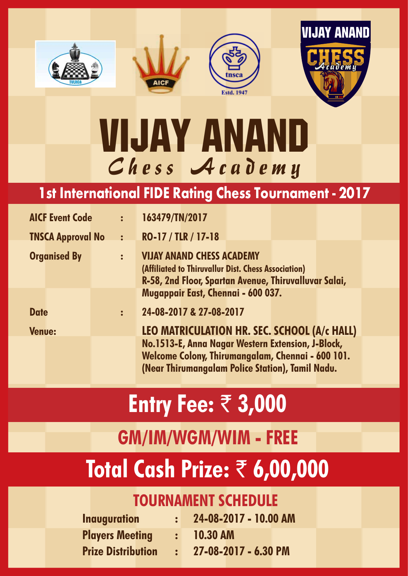







# VII-JAY ANAND Chess Academ y

### **1st International FIDE Rating Chess Tournament - 2017**

| <b>AICF Event Code</b>   | $\mathbf{E}$   | 163479/TN/2017                                           |
|--------------------------|----------------|----------------------------------------------------------|
| <b>TNSCA Approval No</b> | $\ddot{\cdot}$ | RO-17 / TLR / 17-18                                      |
| <b>Organised By</b>      | $\ddot{\cdot}$ | <b>VIJAY ANAND CHESS ACADEMY</b>                         |
|                          |                | (Affiliated to Thiruvallur Dist. Chess Association)      |
|                          |                | R-58, 2nd Floor, Spartan Avenue, Thiruvalluvar Salai,    |
|                          |                | Mugappair East, Chennai - 600 037.                       |
| <b>Date</b>              | $\ddot{\cdot}$ | 24-08-2017 & 27-08-2017                                  |
| <b>Venue:</b>            |                | <b>LEO MATRICULATION HR. SEC. SCHOOL (A/c HALL)</b>      |
|                          |                | No.1513-E, Anna Nagar Western Extension, J-Block,        |
|                          |                | <b>Welcome Colony, Thirumangalam, Chennai - 600 101.</b> |
|                          |                | (Near Thirumangalam Police Station), Tamil Nadu.         |

# **Entry Fee:** ` **3,000**

## **GM/IM/WGM/WIM - FREE**

## **Total Cash Prize:** ` **6,00,000**

#### **TOURNAMENT SCHEDULE**

| <b>Inauguration</b>       | $24-08-2017 - 10.00$ AM |
|---------------------------|-------------------------|
| <b>Players Meeting</b>    | $: 10.30$ AM            |
| <b>Prize Distribution</b> | 27-08-2017 - 6.30 PM    |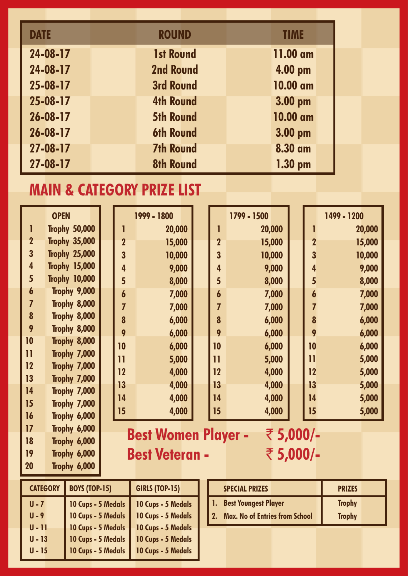| <b>DATE</b>    | <b>ROUND</b>     |  | <b>TIME</b> |  |
|----------------|------------------|--|-------------|--|
| 24-08-17       | <b>1st Round</b> |  | 11.00 am    |  |
| 24-08-17       | <b>2nd Round</b> |  | 4.00 pm     |  |
| 25-08-17       | <b>3rd Round</b> |  | 10.00 am    |  |
| 25-08-17       | <b>4th Round</b> |  | 3.00 pm     |  |
| $26 - 08 - 17$ | <b>5th Round</b> |  | 10.00 am    |  |
| $26 - 08 - 17$ | <b>6th Round</b> |  | 3.00 pm     |  |
| $27 - 08 - 17$ | <b>7th Round</b> |  | 8.30 am     |  |
| 27-08-17       | <b>8th Round</b> |  | $1.30$ pm   |  |

#### **MAIN & CATEGORY PRIZE LIST**

|                         | <b>OPEN</b>                                    |  |                  | 1999 - 1800                                    |  |                | 1799 - 1500   |                         | 1499 - 1200 |
|-------------------------|------------------------------------------------|--|------------------|------------------------------------------------|--|----------------|---------------|-------------------------|-------------|
|                         | <b>Trophy 50,000</b>                           |  |                  | 20,000                                         |  |                | 20,000        |                         | 20,000      |
| $\overline{2}$          | <b>Trophy 35,000</b>                           |  | $\overline{2}$   | 15,000                                         |  | $\overline{2}$ | 15,000        | $\overline{\mathbf{2}}$ | 15,000      |
| $\overline{\mathbf{3}}$ | <b>Trophy 25,000</b>                           |  | $\overline{3}$   | 10,000                                         |  | 3              | 10,000        | $\overline{\mathbf{3}}$ | 10,000      |
| 4                       | <b>Trophy 15,000</b>                           |  | $\overline{4}$   | 9,000                                          |  | 4              | 9,000         | $\overline{\mathbf{4}}$ | 9,000       |
| 5                       | <b>Trophy 10,000</b>                           |  | 5                | 8,000                                          |  | 5              | 8,000         | $5\overline{)}$         | 8,000       |
| 6                       | Trophy 9,000                                   |  | $\boldsymbol{6}$ | 7,000                                          |  | 6              | 7,000         | $\boldsymbol{6}$        | 7,000       |
| 7                       | Trophy 8,000                                   |  | $\overline{I}$   | 7,000                                          |  | 7              | 7,000         | $\overline{7}$          | 7,000       |
| 8                       | Trophy 8,000                                   |  | 8                | 6,000                                          |  | 8              | 6,000         | 8                       | 6,000       |
| 9                       | Trophy 8,000                                   |  | 9                | 6,000                                          |  | 9              | 6,000         | 9                       | 6,000       |
| 10                      | Trophy 8,000                                   |  | 10               | 6,000                                          |  | 10             | 6,000         | 10                      | 6,000       |
| $\overline{1}$          | Trophy 7,000                                   |  | $\mathbf{1}$     | 5,000                                          |  | 11             | 5,000         | $\overline{1}$          | 5,000       |
| 12                      | Trophy 7,000                                   |  | 12               | 4,000                                          |  | 12             | 4,000         | 12                      | 5,000       |
| 13                      | Trophy 7,000                                   |  | 13               | 4,000                                          |  | 13             | 4,000         | 13                      | 5,000       |
| 14                      | Trophy 7,000                                   |  | 14               | 4,000                                          |  | 14             | 4,000         | 14                      | 5,000       |
| 15                      | Trophy 7,000                                   |  | 15               | 4,000                                          |  | 15             | 4,000         | 15                      | 5,000       |
| 16<br>17                | Trophy 6,000                                   |  |                  |                                                |  |                |               |                         |             |
| 18                      | Trophy 6,000<br>Trophy 6,000                   |  |                  | <b>Best Women Player -</b>                     |  |                | ₹ 5,000/-     |                         |             |
| 19                      | Trophy 6,000                                   |  |                  | <b>Best Veteran -</b>                          |  |                | ₹ 5,000/-     |                         |             |
| <b>20</b>               | Trophy 6,000                                   |  |                  |                                                |  |                |               |                         |             |
|                         |                                                |  |                  |                                                |  |                |               |                         |             |
|                         | <b>CATEGORY</b><br><b>BOYS (TOP-15)</b>        |  |                  | <b>GIRLS (TOP-15)</b><br><b>SPECIAL PRIZES</b> |  |                | <b>PRIZES</b> |                         |             |
| $U - 7$                 | 1.<br>10 Cups - 5 Medals<br>10 Cups - 5 Medals |  |                  | <b>Best Youngest Player</b>                    |  | <b>Trophy</b>  |               |                         |             |

**2. Max. No of Entries from School Trophy** 

| CAIEGORY | BOYS (10P-15)      | <b>GIRLS (IOP-15)</b> |
|----------|--------------------|-----------------------|
| U - 7    | 10 Cups - 5 Medals | 10 Cups - 5 Medals    |
| $U - 9$  | 10 Cups - 5 Medals | 10 Cups - 5 Medals    |
| U - 11   | 10 Cups - 5 Medals | 10 Cups - 5 Medals    |
| $U - 13$ | 10 Cups - 5 Medals | 10 Cups - 5 Medals    |
| U - 15   | 10 Cups - 5 Medals | 10 Cups - 5 Medals    |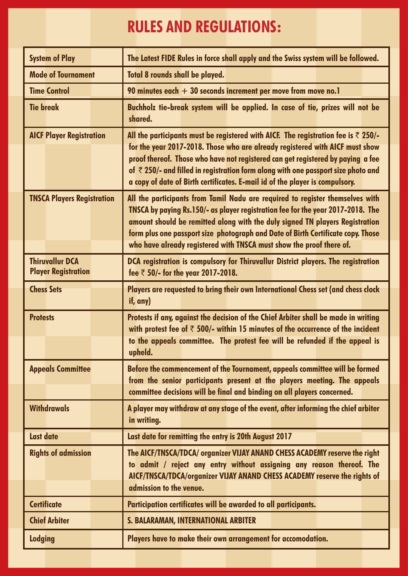### **RULES AND REGULATIONS:**

| <b>System of Play</b>             | The Latest FIDE Rules in force shall apply and the Swiss system will be followed.                                                                                                                                                                                                                                                                                                                            |
|-----------------------------------|--------------------------------------------------------------------------------------------------------------------------------------------------------------------------------------------------------------------------------------------------------------------------------------------------------------------------------------------------------------------------------------------------------------|
| <b>Mode of Tournament</b>         | <b>Total 8 rounds shall be played.</b>                                                                                                                                                                                                                                                                                                                                                                       |
| <b>Time Control</b>               | 90 minutes each $+30$ seconds increment per move from move no. I                                                                                                                                                                                                                                                                                                                                             |
| <b>Tie break</b>                  | Buchholz tie-break system will be applied. In case of tie, prizes will not be<br>shared.                                                                                                                                                                                                                                                                                                                     |
| <b>AICF Player Registration</b>   | All the participants must be registered with AICF. The registration fee is $\bar{\tau}$ 250/-                                                                                                                                                                                                                                                                                                                |
|                                   | for the year 2017-2018. Those who are already registered with AICF must show<br>proof thereof. Those who have not registered can get registered by paying a fee<br>of $\bar{\tau}$ 250/- and filled in registration form along with one passport size photo and<br>a copy of date of Birth certificates. E-mail id of the player is compulsory.                                                              |
| <b>TNSCA Players Registration</b> | All the participants from Tamil Nadu are required to register themselves with<br>TNSCA by paying Rs.150/- as player registration fee for the year 2017-2018. The<br>amount should be remitted along with the duly signed TN players Registration<br>form plus one passport size photograph and Date of Birth Certificate copy. Those<br>who have already registered with TNSCA must show the proof there of. |
| <b>Thiruvallur DCA</b>            | DCA registration is compulsory for Thiruvallur District players. The registration                                                                                                                                                                                                                                                                                                                            |
| <b>Player Registration</b>        | fee $\bar{z}$ 50/- for the year 2017-2018.                                                                                                                                                                                                                                                                                                                                                                   |
| <b>Chess Sets</b>                 | Players are requested to bring their own International Chess set (and chess clock<br>if, any)                                                                                                                                                                                                                                                                                                                |
| <b>Protests</b>                   | Protests if any, against the decision of the Chief Arbiter shall be made in writing<br>with protest fee of $\bar{\tau}$ 500/- within 15 minutes of the occurrence of the incident                                                                                                                                                                                                                            |
|                                   | to the appeals committee. The protest fee will be refunded if the appeal is<br>upheld.                                                                                                                                                                                                                                                                                                                       |
| <b>Appeals Committee</b>          | Before the commencement of the Tournament, appeals committee will be formed<br>from the senior participants present at the players meeting. The appeals<br>committee decisions will be final and binding on all players concerned.                                                                                                                                                                           |
| <b>Withdrawals</b>                | A player may withdraw at any stage of the event, after informing the chief arbiter<br>in writing.                                                                                                                                                                                                                                                                                                            |
| Last date                         | Last date for remitting the entry is 20th August 2017                                                                                                                                                                                                                                                                                                                                                        |
| <b>Rights of admission</b>        | The AICF/TNSCA/TDCA/ organizer VIJAY ANAND CHESS ACADEMY reserve the right<br>to admit / reject any entry without assigning any reason thereof. The<br>AICF/TNSCA/TDCA/organizer VIJAY ANAND CHESS ACADEMY reserve the rights of<br>admission to the venue.                                                                                                                                                  |
| <b>Certificate</b>                | Participation certificates will be awarded to all participants.                                                                                                                                                                                                                                                                                                                                              |
| <b>Chief Arbiter</b>              | S. BALARAMAN, INTERNATIONAL ARBITER                                                                                                                                                                                                                                                                                                                                                                          |
| <b>Lodging</b>                    | Players have to make their own arrangement for accomodation.                                                                                                                                                                                                                                                                                                                                                 |